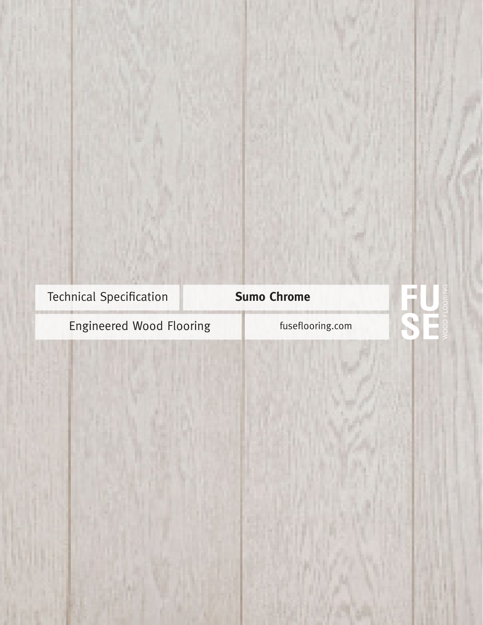Technical Specification **Sumo Chrome** 

Engineered Wood Flooring Fuseflooring.com

H.  $\mathbb{R}$  $\mathbf{D}$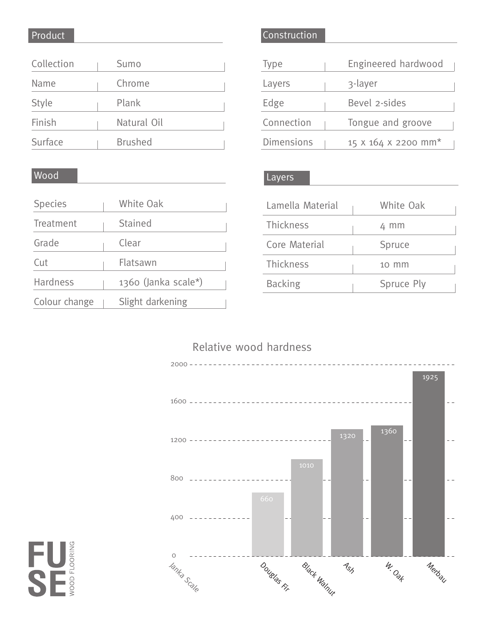# Product

Wood

| Collection   | Sumo           |
|--------------|----------------|
| Name         | Chrome         |
| <b>Style</b> | Plank          |
| Finish       | Natural Oil    |
| Surface      | <b>Brushed</b> |

## Construction

| Type              | Engineered hardwood |
|-------------------|---------------------|
| Layers            | 3-layer             |
| Edge              | Bevel 2-sides       |
| Connection        | Tongue and groove   |
| <b>Dimensions</b> | 15 X 164 X 2200 mm* |

#### Layers

| Lamella Material | White Oak  |
|------------------|------------|
| <b>Thickness</b> | 4 mm       |
| Core Material    | Spruce     |
| <b>Thickness</b> | 10 mm      |
| <b>Backing</b>   | Spruce Ply |

| <b>Species</b>  | White Oak             |
|-----------------|-----------------------|
| Treatment       | <b>Stained</b>        |
| Grade           | Clear                 |
| Cut             | Flatsawn              |
| <b>Hardness</b> | $1360$ (Janka scale*) |
| Colour change   | Slight darkening      |

# Relative wood hardness